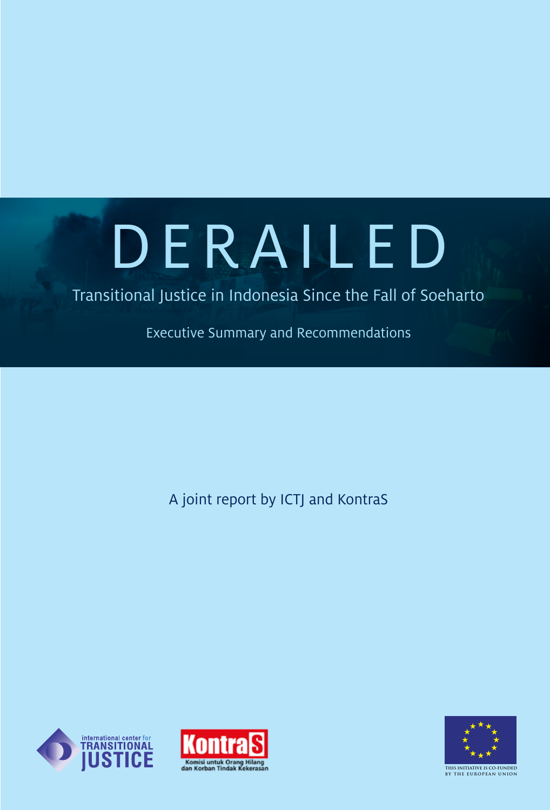# DERAILED

# Transitional Justice in Indonesia Since the Fall of Soeharto

Executive Summary and Recommendations

A joint report by ICTJ and KontraS





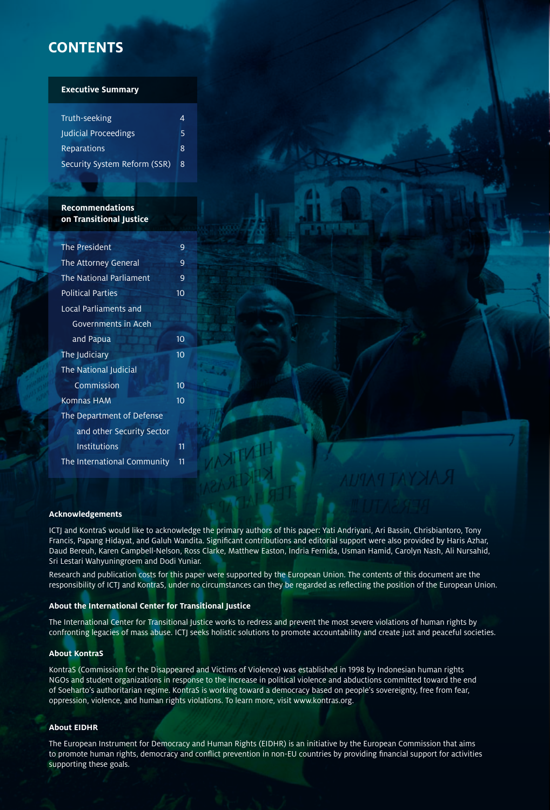#### **CONTeNTs**

#### **Executive Summary**

| Truth-seeking                | 4 |
|------------------------------|---|
| <b>Iudicial Proceedings</b>  | 5 |
| Reparations                  | 8 |
| Security System Reform (SSR) | 8 |

#### **Recommendations on Transitional Justice**

| The President               | ٩  |
|-----------------------------|----|
| The Attorney General        | 9  |
| The National Parliament     | 9  |
| <b>Political Parties</b>    | 10 |
| Local Parliaments and       |    |
| Governments in Aceh         |    |
| and Papua                   | 10 |
| The Judiciary               | 10 |
| The National Judicial       |    |
| Commission                  | 10 |
| Komnas HAM                  | 10 |
| The Department of Defense   |    |
| and other Security Sector   |    |
| Institutions                | 11 |
| The International Community | 11 |

#### **Acknowledgements**

ICTJ and KontraS would like to acknowledge the primary authors of this paper: Yati Andriyani, Ari Bassin, Chrisbiantoro, Tony Francis, Papang Hidayat, and Galuh Wandita. Significant contributions and editorial support were also provided by Haris Azhar, Daud Bereuh, Karen Campbell-Nelson, Ross Clarke, Matthew Easton, Indria Fernida, Usman Hamid, Carolyn Nash, Ali Nursahid, Sri Lestari Wahyuningroem and Dodi Yuniar.

Research and publication costs for this paper were supported by the European Union. The contents of this document are the responsibility of ICTJ and KontraS, under no circumstances can they be regarded as reflecting the position of the European Union.

#### **About the International Center for Transitional Justice**

The International Center for Transitional Justice works to redress and prevent the most severe violations of human rights by confronting legacies of mass abuse. ICTJ seeks holistic solutions to promote accountability and create just and peaceful societies.

#### **About KontraS**

KontraS (Commission for the Disappeared and Victims of Violence) was established in 1998 by Indonesian human rights NGOs and student organizations in response to the increase in political violence and abductions committed toward the end of Soeharto's authoritarian regime. KontraS is working toward a democracy based on people's sovereignty, free from fear, oppression, violence, and human rights violations. To learn more, visit www.kontras.org.

#### **About EIDHR**

The European Instrument for Democracy and Human Rights (EIDHR) is an initiative by the European Commission that aims to promote human rights, democracy and conflict prevention in non-EU countries by providing financial support for activities supporting these goals.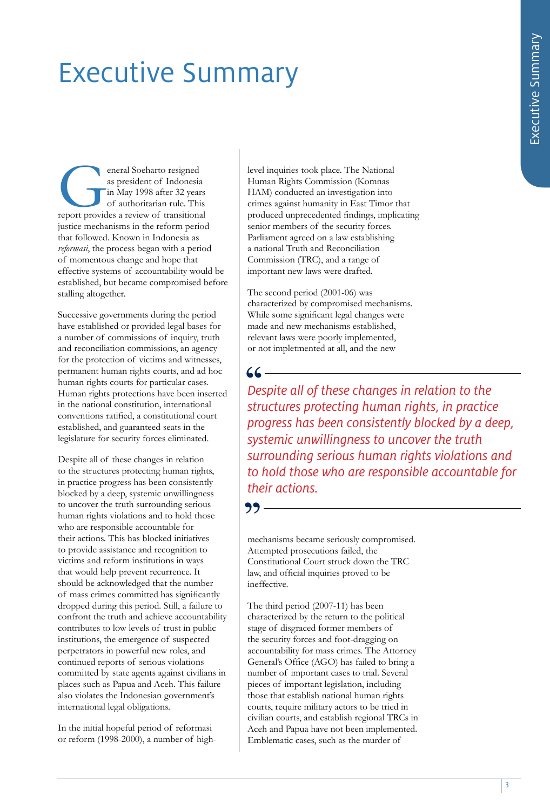# Executive Summary

eneral Soeharto resigned<br>
as president of Indonesia<br>
in May 1998 after 32 years<br>
of authoritarian rule. This<br>
report provides a review of transitional as president of Indonesia in May 1998 after 32 years of authoritarian rule. This justice mechanisms in the reform period that followed. Known in Indonesia as *reformasi*, the process began with a period of momentous change and hope that effective systems of accountability would be established, but became compromised before stalling altogether.

Successive governments during the period have established or provided legal bases for a number of commissions of inquiry, truth and reconciliation commissions, an agency for the protection of victims and witnesses, permanent human rights courts, and ad hoc human rights courts for particular cases. Human rights protections have been inserted in the national constitution, international conventions ratified, a constitutional court established, and guaranteed seats in the legislature for security forces eliminated.

Despite all of these changes in relation to the structures protecting human rights, in practice progress has been consistently blocked by a deep, systemic unwillingness to uncover the truth surrounding serious human rights violations and to hold those who are responsible accountable for their actions. This has blocked initiatives to provide assistance and recognition to victims and reform institutions in ways that would help prevent recurrence. It should be acknowledged that the number of mass crimes committed has significantly dropped during this period. Still, a failure to confront the truth and achieve accountability contributes to low levels of trust in public institutions, the emergence of suspected perpetrators in powerful new roles, and continued reports of serious violations committed by state agents against civilians in places such as Papua and Aceh. This failure also violates the Indonesian government's international legal obligations.

In the initial hopeful period of reformasi or reform (1998-2000), a number of highlevel inquiries took place. The National Human Rights Commission (Komnas HAM) conducted an investigation into crimes against humanity in East Timor that produced unprecedented findings, implicating senior members of the security forces. Parliament agreed on a law establishing a national Truth and Reconciliation Commission (TRC), and a range of important new laws were drafted.

The second period (2001-06) was characterized by compromised mechanisms. While some significant legal changes were made and new mechanisms established, relevant laws were poorly implemented, or not impletmented at all, and the new

*Despite all of these changes in relation to the structures protecting human rights, in practice progress has been consistently blocked by a deep, systemic unwillingness to uncover the truth surrounding serious human rights violations and to hold those who are responsible accountable for their actions.*   $\frac{66}{\text{Des}}$ 

 $\bullet$ 

mechanisms became seriously compromised. Attempted prosecutions failed, the Constitutional Court struck down the TRC law, and official inquiries proved to be ineffective.

The third period (2007-11) has been characterized by the return to the political stage of disgraced former members of the security forces and foot-dragging on accountability for mass crimes. The Attorney General's Office (AGO) has failed to bring a number of important cases to trial. Several pieces of important legislation, including those that establish national human rights courts, require military actors to be tried in civilian courts, and establish regional TRCs in Aceh and Papua have not been implemented. Emblematic cases, such as the murder of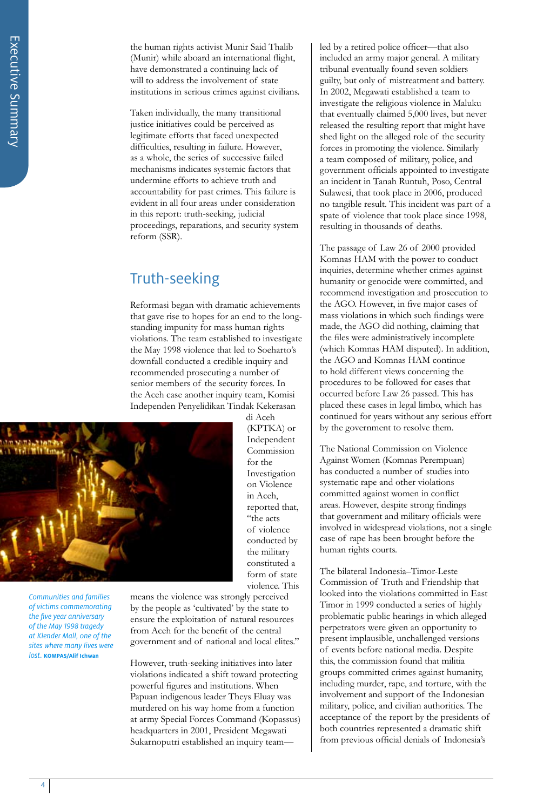the human rights activist Munir Said Thalib (Munir) while aboard an international flight, have demonstrated a continuing lack of will to address the involvement of state institutions in serious crimes against civilians.

Taken individually, the many transitional justice initiatives could be perceived as legitimate efforts that faced unexpected difficulties, resulting in failure. However, as a whole, the series of successive failed mechanisms indicates systemic factors that undermine efforts to achieve truth and accountability for past crimes. This failure is evident in all four areas under consideration in this report: truth-seeking, judicial proceedings, reparations, and security system reform (SSR).

## Truth-seeking

Reformasi began with dramatic achievements that gave rise to hopes for an end to the longstanding impunity for mass human rights violations. The team established to investigate the May 1998 violence that led to Soeharto's downfall conducted a credible inquiry and recommended prosecuting a number of senior members of the security forces. In the Aceh case another inquiry team, Komisi Independen Penyelidikan Tindak Kekerasan



di Aceh (KPTKA) or Independent Commission for the Investigation on Violence in Aceh, reported that, "the acts of violence conducted by the military constituted a form of state violence. This

*Communities and families of victims commemorating the five year anniversary of the May 1998 tragedy at Klender Mall, one of the sites where many lives were lost.* **KOMPAS/Alif Ichwan**

means the violence was strongly perceived by the people as 'cultivated' by the state to ensure the exploitation of natural resources from Aceh for the benefit of the central government and of national and local elites."

However, truth-seeking initiatives into later violations indicated a shift toward protecting powerful figures and institutions. When Papuan indigenous leader Theys Eluay was murdered on his way home from a function at army Special Forces Command (Kopassus) headquarters in 2001, President Megawati Sukarnoputri established an inquiry teamled by a retired police officer—that also included an army major general. A military tribunal eventually found seven soldiers guilty, but only of mistreatment and battery. In 2002, Megawati established a team to investigate the religious violence in Maluku that eventually claimed 5,000 lives, but never released the resulting report that might have shed light on the alleged role of the security forces in promoting the violence. Similarly a team composed of military, police, and government officials appointed to investigate an incident in Tanah Runtuh, Poso, Central Sulawesi, that took place in 2006, produced no tangible result. This incident was part of a spate of violence that took place since 1998, resulting in thousands of deaths.

The passage of Law 26 of 2000 provided Komnas HAM with the power to conduct inquiries, determine whether crimes against humanity or genocide were committed, and recommend investigation and prosecution to the AGO. However, in five major cases of mass violations in which such findings were made, the AGO did nothing, claiming that the files were administratively incomplete (which Komnas HAM disputed). In addition, the AGO and Komnas HAM continue to hold different views concerning the procedures to be followed for cases that occurred before Law 26 passed. This has placed these cases in legal limbo, which has continued for years without any serious effort by the government to resolve them.

The National Commission on Violence Against Women (Komnas Perempuan) has conducted a number of studies into systematic rape and other violations committed against women in conflict areas. However, despite strong findings that government and military officials were involved in widespread violations, not a single case of rape has been brought before the human rights courts.

The bilateral Indonesia–Timor-Leste Commission of Truth and Friendship that looked into the violations committed in East Timor in 1999 conducted a series of highly problematic public hearings in which alleged perpetrators were given an opportunity to present implausible, unchallenged versions of events before national media. Despite this, the commission found that militia groups committed crimes against humanity, including murder, rape, and torture, with the involvement and support of the Indonesian military, police, and civilian authorities. The acceptance of the report by the presidents of both countries represented a dramatic shift from previous official denials of Indonesia's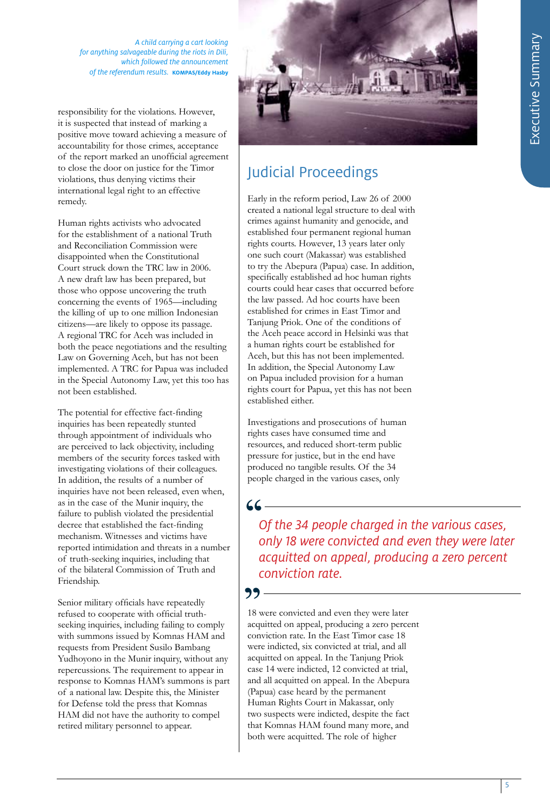*A child carrying a cart looking for anything salvageable during the riots in Dili, which followed the announcement of the referendum results.* **KOMPAS/Eddy Hasby**

responsibility for the violations. However, it is suspected that instead of marking a positive move toward achieving a measure of accountability for those crimes, acceptance of the report marked an unofficial agreement to close the door on justice for the Timor violations, thus denying victims their international legal right to an effective remedy.

Human rights activists who advocated for the establishment of a national Truth and Reconciliation Commission were disappointed when the Constitutional Court struck down the TRC law in 2006. A new draft law has been prepared, but those who oppose uncovering the truth concerning the events of 1965—including the killing of up to one million Indonesian citizens—are likely to oppose its passage. A regional TRC for Aceh was included in both the peace negotiations and the resulting Law on Governing Aceh, but has not been implemented. A TRC for Papua was included in the Special Autonomy Law, yet this too has not been established.

The potential for effective fact-finding inquiries has been repeatedly stunted through appointment of individuals who are perceived to lack objectivity, including members of the security forces tasked with investigating violations of their colleagues. In addition, the results of a number of inquiries have not been released, even when, as in the case of the Munir inquiry, the failure to publish violated the presidential decree that established the fact-finding mechanism. Witnesses and victims have reported intimidation and threats in a number of truth-seeking inquiries, including that of the bilateral Commission of Truth and Friendship.

Senior military officials have repeatedly refused to cooperate with official truthseeking inquiries, including failing to comply with summons issued by Komnas HAM and requests from President Susilo Bambang Yudhoyono in the Munir inquiry, without any repercussions. The requirement to appear in response to Komnas HAM's summons is part of a national law. Despite this, the Minister for Defense told the press that Komnas HAM did not have the authority to compel retired military personnel to appear.



## Judicial Proceedings

Early in the reform period, Law 26 of 2000 created a national legal structure to deal with crimes against humanity and genocide, and established four permanent regional human rights courts. However, 13 years later only one such court (Makassar) was established to try the Abepura (Papua) case. In addition, specifically established ad hoc human rights courts could hear cases that occurred before the law passed. Ad hoc courts have been established for crimes in East Timor and Tanjung Priok. One of the conditions of the Aceh peace accord in Helsinki was that a human rights court be established for Aceh, but this has not been implemented. In addition, the Special Autonomy Law on Papua included provision for a human rights court for Papua, yet this has not been established either.

Investigations and prosecutions of human rights cases have consumed time and resources, and reduced short-term public pressure for justice, but in the end have produced no tangible results. Of the 34 people charged in the various cases, only

*Of the 34 people charged in the various cases, only 18 were convicted and even they were later acquitted on appeal, producing a zero percent conviction rate.* 

99-

 $AC$ 

18 were convicted and even they were later acquitted on appeal, producing a zero percent conviction rate. In the East Timor case 18 were indicted, six convicted at trial, and all acquitted on appeal. In the Tanjung Priok case 14 were indicted, 12 convicted at trial, and all acquitted on appeal. In the Abepura (Papua) case heard by the permanent Human Rights Court in Makassar, only two suspects were indicted, despite the fact that Komnas HAM found many more, and both were acquitted. The role of higher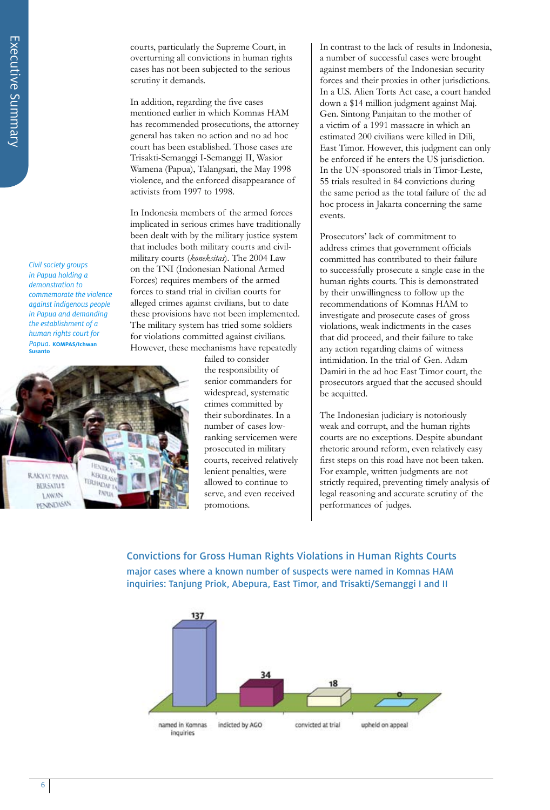*Civil society groups in Papua holding a demonstration to commemorate the violence against indigenous people in Papua and demanding the establishment of a human rights court for Papua.* **KOMPAS/Ichwan Susanto**



courts, particularly the Supreme Court, in overturning all convictions in human rights cases has not been subjected to the serious scrutiny it demands.

In addition, regarding the five cases mentioned earlier in which Komnas HAM has recommended prosecutions, the attorney general has taken no action and no ad hoc court has been established. Those cases are Trisakti-Semanggi I-Semanggi II, Wasior Wamena (Papua), Talangsari, the May 1998 violence, and the enforced disappearance of activists from 1997 to 1998.

In Indonesia members of the armed forces implicated in serious crimes have traditionally been dealt with by the military justice system that includes both military courts and civilmilitary courts (*koneksitas*). The 2004 Law on the TNI (Indonesian National Armed Forces) requires members of the armed forces to stand trial in civilian courts for alleged crimes against civilians, but to date these provisions have not been implemented. The military system has tried some soldiers for violations committed against civilians. However, these mechanisms have repeatedly

> failed to consider the responsibility of senior commanders for widespread, systematic crimes committed by their subordinates. In a number of cases lowranking servicemen were prosecuted in military courts, received relatively lenient penalties, were allowed to continue to serve, and even received promotions.

In contrast to the lack of results in Indonesia, a number of successful cases were brought against members of the Indonesian security forces and their proxies in other jurisdictions. In a U.S. Alien Torts Act case, a court handed down a \$14 million judgment against Maj. Gen. Sintong Panjaitan to the mother of a victim of a 1991 massacre in which an estimated 200 civilians were killed in Dili, East Timor. However, this judgment can only be enforced if he enters the US jurisdiction. In the UN-sponsored trials in Timor-Leste, 55 trials resulted in 84 convictions during the same period as the total failure of the ad hoc process in Jakarta concerning the same events.

Prosecutors' lack of commitment to address crimes that government officials committed has contributed to their failure to successfully prosecute a single case in the human rights courts. This is demonstrated by their unwillingness to follow up the recommendations of Komnas HAM to investigate and prosecute cases of gross violations, weak indictments in the cases that did proceed, and their failure to take any action regarding claims of witness intimidation. In the trial of Gen. Adam Damiri in the ad hoc East Timor court, the prosecutors argued that the accused should be acquitted.

The Indonesian judiciary is notoriously weak and corrupt, and the human rights courts are no exceptions. Despite abundant rhetoric around reform, even relatively easy first steps on this road have not been taken. For example, written judgments are not strictly required, preventing timely analysis of legal reasoning and accurate scrutiny of the performances of judges.

#### Convictions for Gross Human Rights Violations in Human Rights Courts major cases where a known number of suspects were named in Komnas HAM inquiries: Tanjung Priok, Abepura, East Timor, and Trisakti/Semanggi I and II

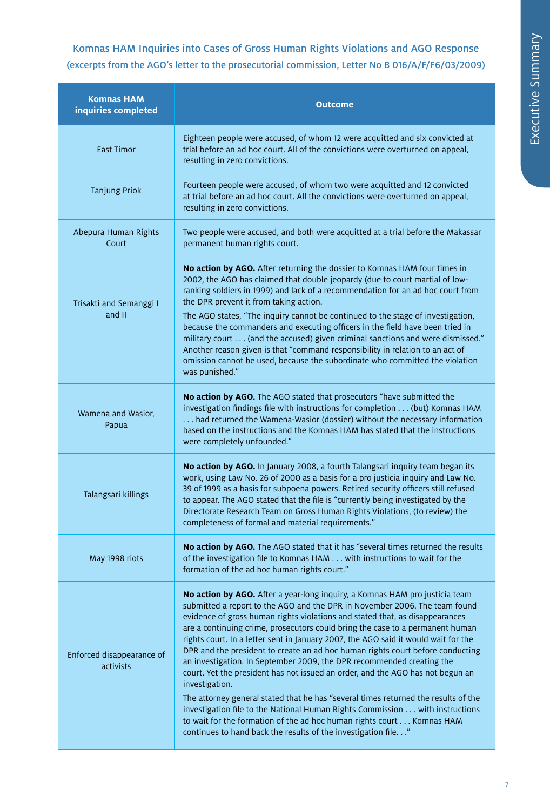#### Komnas HAM Inquiries into Cases of Gross Human Rights Violations and AGO Response (excerpts from the AGO's letter to the prosecutorial commission, Letter No B 016/A/F/F6/03/2009)

| <b>Komnas HAM</b><br>inquiries completed | <b>Outcome</b>                                                                                                                                                                                                                                                                                                                                                                                                                                                                                                                                                                                                                                                                                                                                                                                                                                                                                                                                                                                  |
|------------------------------------------|-------------------------------------------------------------------------------------------------------------------------------------------------------------------------------------------------------------------------------------------------------------------------------------------------------------------------------------------------------------------------------------------------------------------------------------------------------------------------------------------------------------------------------------------------------------------------------------------------------------------------------------------------------------------------------------------------------------------------------------------------------------------------------------------------------------------------------------------------------------------------------------------------------------------------------------------------------------------------------------------------|
| <b>East Timor</b>                        | Eighteen people were accused, of whom 12 were acquitted and six convicted at<br>trial before an ad hoc court. All of the convictions were overturned on appeal,<br>resulting in zero convictions.                                                                                                                                                                                                                                                                                                                                                                                                                                                                                                                                                                                                                                                                                                                                                                                               |
| <b>Tanjung Priok</b>                     | Fourteen people were accused, of whom two were acquitted and 12 convicted<br>at trial before an ad hoc court. All the convictions were overturned on appeal,<br>resulting in zero convictions.                                                                                                                                                                                                                                                                                                                                                                                                                                                                                                                                                                                                                                                                                                                                                                                                  |
| Abepura Human Rights<br>Court            | Two people were accused, and both were acquitted at a trial before the Makassar<br>permanent human rights court.                                                                                                                                                                                                                                                                                                                                                                                                                                                                                                                                                                                                                                                                                                                                                                                                                                                                                |
| Trisakti and Semanggi I<br>and II        | No action by AGO. After returning the dossier to Komnas HAM four times in<br>2002, the AGO has claimed that double jeopardy (due to court martial of low-<br>ranking soldiers in 1999) and lack of a recommendation for an ad hoc court from<br>the DPR prevent it from taking action.<br>The AGO states, "The inquiry cannot be continued to the stage of investigation,                                                                                                                                                                                                                                                                                                                                                                                                                                                                                                                                                                                                                       |
|                                          | because the commanders and executing officers in the field have been tried in<br>military court (and the accused) given criminal sanctions and were dismissed."<br>Another reason given is that "command responsibility in relation to an act of<br>omission cannot be used, because the subordinate who committed the violation<br>was punished."                                                                                                                                                                                                                                                                                                                                                                                                                                                                                                                                                                                                                                              |
| Wamena and Wasior,<br>Papua              | No action by AGO. The AGO stated that prosecutors "have submitted the<br>investigation findings file with instructions for completion (but) Komnas HAM<br>had returned the Wamena-Wasior (dossier) without the necessary information<br>based on the instructions and the Komnas HAM has stated that the instructions<br>were completely unfounded."                                                                                                                                                                                                                                                                                                                                                                                                                                                                                                                                                                                                                                            |
| Talangsari killings                      | No action by AGO. In January 2008, a fourth Talangsari inquiry team began its<br>work, using Law No. 26 of 2000 as a basis for a pro justicia inquiry and Law No.<br>39 of 1999 as a basis for subpoena powers. Retired security officers still refused<br>to appear. The AGO stated that the file is "currently being investigated by the<br>Directorate Research Team on Gross Human Rights Violations, (to review) the<br>completeness of formal and material requirements."                                                                                                                                                                                                                                                                                                                                                                                                                                                                                                                 |
| May 1998 riots                           | No action by AGO. The AGO stated that it has "several times returned the results<br>of the investigation file to Komnas HAM with instructions to wait for the<br>formation of the ad hoc human rights court."                                                                                                                                                                                                                                                                                                                                                                                                                                                                                                                                                                                                                                                                                                                                                                                   |
| Enforced disappearance of<br>activists   | No action by AGO. After a year-long inquiry, a Komnas HAM pro justicia team<br>submitted a report to the AGO and the DPR in November 2006. The team found<br>evidence of gross human rights violations and stated that, as disappearances<br>are a continuing crime, prosecutors could bring the case to a permanent human<br>rights court. In a letter sent in January 2007, the AGO said it would wait for the<br>DPR and the president to create an ad hoc human rights court before conducting<br>an investigation. In September 2009, the DPR recommended creating the<br>court. Yet the president has not issued an order, and the AGO has not begun an<br>investigation.<br>The attorney general stated that he has "several times returned the results of the<br>investigation file to the National Human Rights Commission with instructions<br>to wait for the formation of the ad hoc human rights court Komnas HAM<br>continues to hand back the results of the investigation file" |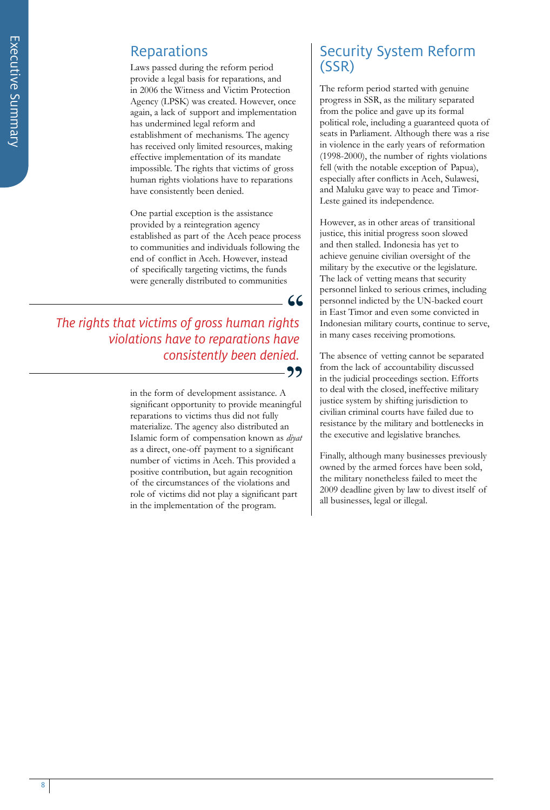#### Reparations

Laws passed during the reform period provide a legal basis for reparations, and in 2006 the Witness and Victim Protection Agency (LPSK) was created. However, once again, a lack of support and implementation has undermined legal reform and establishment of mechanisms. The agency has received only limited resources, making effective implementation of its mandate impossible. The rights that victims of gross human rights violations have to reparations have consistently been denied.

One partial exception is the assistance provided by a reintegration agency established as part of the Aceh peace process to communities and individuals following the end of conflict in Aceh. However, instead of specifically targeting victims, the funds were generally distributed to communities

*The rights that victims of gross human rights*  '' *violations have to reparations have consistently been denied.*  ''

> in the form of development assistance. A significant opportunity to provide meaningful reparations to victims thus did not fully materialize. The agency also distributed an Islamic form of compensation known as *diyat* as a direct, one-off payment to a significant number of victims in Aceh. This provided a positive contribution, but again recognition of the circumstances of the violations and role of victims did not play a significant part in the implementation of the program.

#### Security System Reform (SSR)

The reform period started with genuine progress in SSR, as the military separated from the police and gave up its formal political role, including a guaranteed quota of seats in Parliament. Although there was a rise in violence in the early years of reformation (1998-2000), the number of rights violations fell (with the notable exception of Papua), especially after conflicts in Aceh, Sulawesi, and Maluku gave way to peace and Timor-Leste gained its independence.

However, as in other areas of transitional justice, this initial progress soon slowed and then stalled. Indonesia has yet to achieve genuine civilian oversight of the military by the executive or the legislature. The lack of vetting means that security personnel linked to serious crimes, including personnel indicted by the UN-backed court in East Timor and even some convicted in Indonesian military courts, continue to serve, in many cases receiving promotions.

The absence of vetting cannot be separated from the lack of accountability discussed in the judicial proceedings section. Efforts to deal with the closed, ineffective military justice system by shifting jurisdiction to civilian criminal courts have failed due to resistance by the military and bottlenecks in the executive and legislative branches.

Finally, although many businesses previously owned by the armed forces have been sold, the military nonetheless failed to meet the 2009 deadline given by law to divest itself of all businesses, legal or illegal.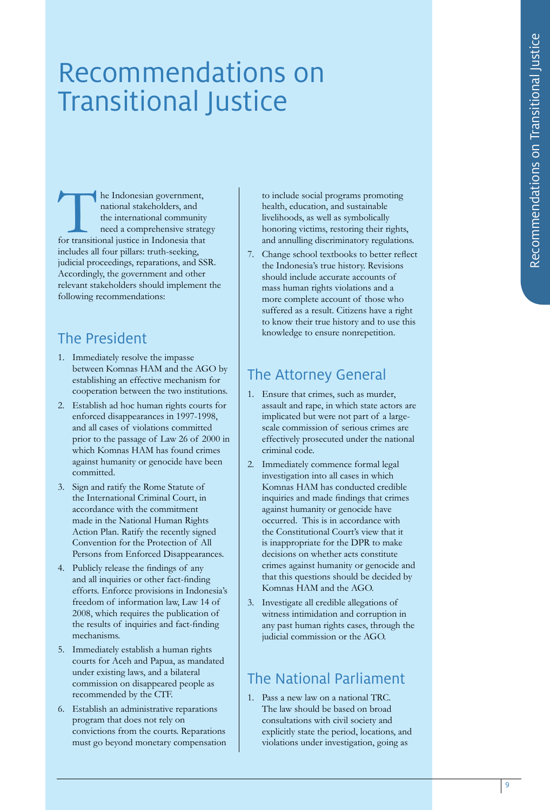# Recommendations on Transitional Justice

The Indonesian government,<br>
national stakeholders, and<br>
the international community<br>
need a comprehensive strate;<br>
for transitional justice in Indonesia that national stakeholders, and the international community need a comprehensive strategy includes all four pillars: truth-seeking, judicial proceedings, reparations, and SSR. Accordingly, the government and other relevant stakeholders should implement the following recommendations:

## The President

- 1. Immediately resolve the impasse between Komnas HAM and the AGO by establishing an effective mechanism for cooperation between the two institutions.
- 2. Establish ad hoc human rights courts for enforced disappearances in 1997-1998, and all cases of violations committed prior to the passage of Law 26 of 2000 in which Komnas HAM has found crimes against humanity or genocide have been committed.
- 3. Sign and ratify the Rome Statute of the International Criminal Court, in accordance with the commitment made in the National Human Rights Action Plan. Ratify the recently signed Convention for the Protection of All Persons from Enforced Disappearances.
- 4. Publicly release the findings of any and all inquiries or other fact-finding efforts. Enforce provisions in Indonesia's freedom of information law, Law 14 of 2008, which requires the publication of the results of inquiries and fact-finding mechanisms.
- 5. Immediately establish a human rights courts for Aceh and Papua, as mandated under existing laws, and a bilateral commission on disappeared people as recommended by the CTF.
- 6. Establish an administrative reparations program that does not rely on convictions from the courts. Reparations must go beyond monetary compensation

to include social programs promoting health, education, and sustainable livelihoods, as well as symbolically honoring victims, restoring their rights, and annulling discriminatory regulations.

7. Change school textbooks to better reflect the Indonesia's true history. Revisions should include accurate accounts of mass human rights violations and a more complete account of those who suffered as a result. Citizens have a right to know their true history and to use this knowledge to ensure nonrepetition.

# The Attorney General

- 1. Ensure that crimes, such as murder, assault and rape, in which state actors are implicated but were not part of a largescale commission of serious crimes are effectively prosecuted under the national criminal code.
- 2. Immediately commence formal legal investigation into all cases in which Komnas HAM has conducted credible inquiries and made findings that crimes against humanity or genocide have occurred. This is in accordance with the Constitutional Court's view that it is inappropriate for the DPR to make decisions on whether acts constitute crimes against humanity or genocide and that this questions should be decided by Komnas HAM and the AGO.
- 3. Investigate all credible allegations of witness intimidation and corruption in any past human rights cases, through the judicial commission or the AGO.

# The National Parliament

1. Pass a new law on a national TRC. The law should be based on broad consultations with civil society and explicitly state the period, locations, and violations under investigation, going as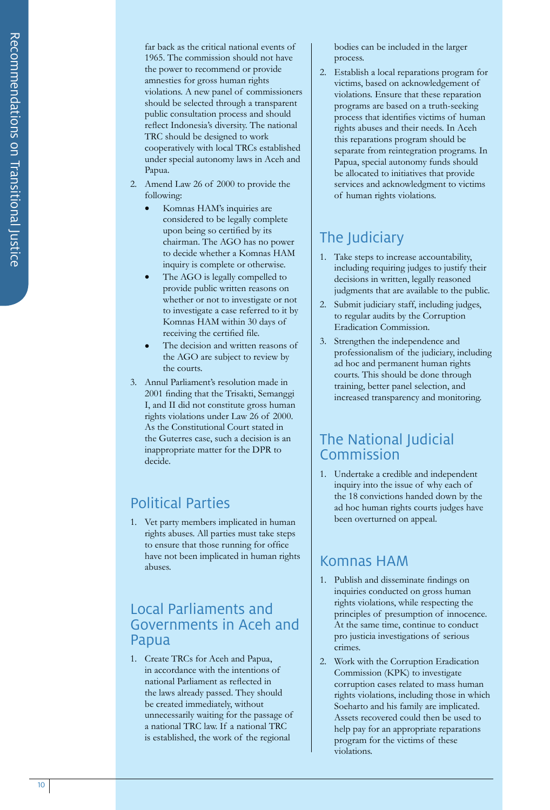far back as the critical national events of 1965. The commission should not have the power to recommend or provide amnesties for gross human rights violations. A new panel of commissioners should be selected through a transparent public consultation process and should reflect Indonesia's diversity. The national TRC should be designed to work cooperatively with local TRCs established under special autonomy laws in Aceh and Papua.

- 2. Amend Law 26 of 2000 to provide the following:
	- Komnas HAM's inquiries are considered to be legally complete upon being so certified by its chairman. The AGO has no power to decide whether a Komnas HAM inquiry is complete or otherwise.
	- The AGO is legally compelled to provide public written reasons on whether or not to investigate or not to investigate a case referred to it by Komnas HAM within 30 days of receiving the certified file.
	- The decision and written reasons of the AGO are subject to review by the courts.
- 3. Annul Parliament's resolution made in 2001 finding that the Trisakti, Semanggi I, and II did not constitute gross human rights violations under Law 26 of 2000. As the Constitutional Court stated in the Guterres case, such a decision is an inappropriate matter for the DPR to decide.

## Political Parties

1. Vet party members implicated in human rights abuses. All parties must take steps to ensure that those running for office have not been implicated in human rights abuses.

#### Local Parliaments and Governments in Aceh and Papua

1. Create TRCs for Aceh and Papua, in accordance with the intentions of national Parliament as reflected in the laws already passed. They should be created immediately, without unnecessarily waiting for the passage of a national TRC law. If a national TRC is established, the work of the regional

bodies can be included in the larger process.

2. Establish a local reparations program for victims, based on acknowledgement of violations. Ensure that these reparation programs are based on a truth-seeking process that identifies victims of human rights abuses and their needs. In Aceh this reparations program should be separate from reintegration programs. In Papua, special autonomy funds should be allocated to initiatives that provide services and acknowledgment to victims of human rights violations.

# The Judiciary

- 1. Take steps to increase accountability, including requiring judges to justify their decisions in written, legally reasoned judgments that are available to the public.
- 2. Submit judiciary staff, including judges, to regular audits by the Corruption Eradication Commission.
- 3. Strengthen the independence and professionalism of the judiciary, including ad hoc and permanent human rights courts. This should be done through training, better panel selection, and increased transparency and monitoring.

#### The National Judicial Commission

1. Undertake a credible and independent inquiry into the issue of why each of the 18 convictions handed down by the ad hoc human rights courts judges have been overturned on appeal.

#### Komnas HAM

- 1. Publish and disseminate findings on inquiries conducted on gross human rights violations, while respecting the principles of presumption of innocence. At the same time, continue to conduct pro justicia investigations of serious crimes.
- 2. Work with the Corruption Eradication Commission (KPK) to investigate corruption cases related to mass human rights violations, including those in which Soeharto and his family are implicated. Assets recovered could then be used to help pay for an appropriate reparations program for the victims of these violations.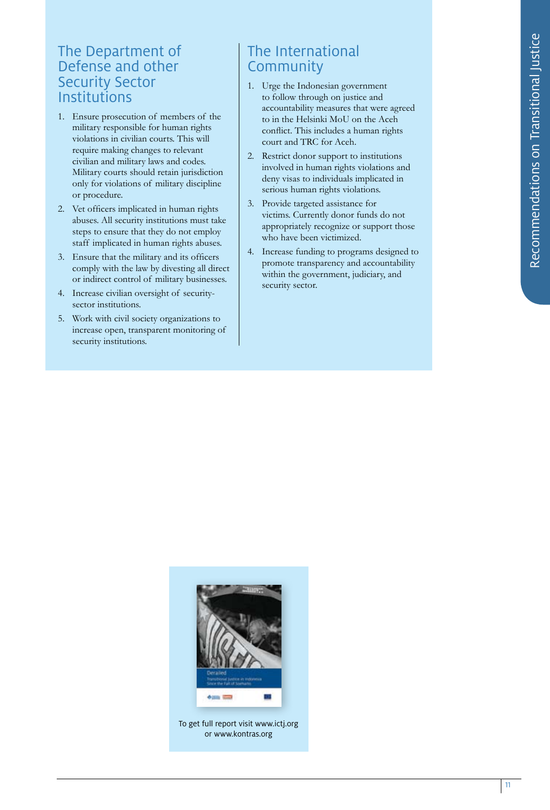#### The Department of Defense and other Security Sector **Institutions**

- 1. Ensure prosecution of members of the military responsible for human rights violations in civilian courts. This will require making changes to relevant civilian and military laws and codes. Military courts should retain jurisdiction only for violations of military discipline or procedure.
- 2. Vet officers implicated in human rights abuses. All security institutions must take steps to ensure that they do not employ staff implicated in human rights abuses.
- 3. Ensure that the military and its officers comply with the law by divesting all direct or indirect control of military businesses.
- 4. Increase civilian oversight of securitysector institutions.
- 5. Work with civil society organizations to increase open, transparent monitoring of security institutions.

#### The International Community

- 1. Urge the Indonesian government to follow through on justice and accountability measures that were agreed to in the Helsinki MoU on the Aceh conflict. This includes a human rights court and TRC for Aceh.
- 2. Restrict donor support to institutions involved in human rights violations and deny visas to individuals implicated in serious human rights violations.
- 3. Provide targeted assistance for victims. Currently donor funds do not appropriately recognize or support those who have been victimized.
- 4. Increase funding to programs designed to promote transparency and accountability within the government, judiciary, and security sector.



To get full report visit www.ictj.org or www.kontras.org